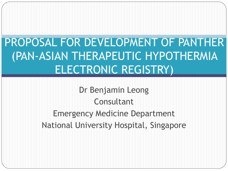# PROPOSAL FOR DEVELOPMENT OF PANTHER (PAN-ASIAN THERAPEUTIC HYPOTHERMIA ELECTRONIC REGISTRY)

Dr Benjamin Leong Consultant Emergency Medicine Department National University Hospital, Singapore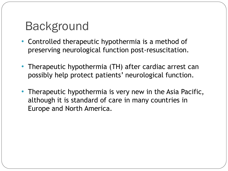# Background

- Controlled therapeutic hypothermia is a method of preserving neurological function post-resuscitation.
- Therapeutic hypothermia (TH) after cardiac arrest can possibly help protect patients' neurological function.
- Therapeutic hypothermia is very new in the Asia Pacific, although it is standard of care in many countries in Europe and North America.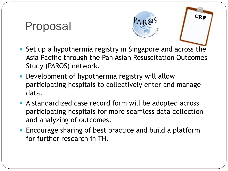#### Proposal



 $CRF$ 

- Set up a hypothermia registry in Singapore and across the Asia Pacific through the Pan Asian Resuscitation Outcomes Study (PAROS) network.
- Development of hypothermia registry will allow participating hospitals to collectively enter and manage data.
- A standardized case record form will be adopted across participating hospitals for more seamless data collection and analyzing of outcomes.
- Encourage sharing of best practice and build a platform for further research in TH.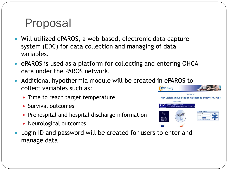# Proposal

- Will utilized ePAROS, a web-based, electronic data capture system (EDC) for data collection and managing of data variables.
- ePAROS is used as a platform for collecting and entering OHCA data under the PAROS network.
- Additional hypothermia module will be created in ePAROS to collect variables such as:
	- Time to reach target temperature
	- Survival outcomes
	- Prehospital and hospital discharge information
	- Neurological outcomes.
- Login ID and password will be created for users to enter and manage data

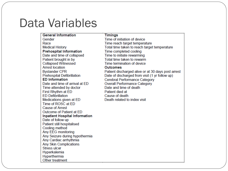#### Data Variables

#### **General Information**

Gender Race **Medical History Prehospital Information** Date and time of collapsed Patient brought in by **Collapsed Witnessed Arrest location Bystander CPR Prehospital Defibrillation ED** Information Date and time of arrival at FD Time attended by doctor First Rhythm at ED **ED Defibrillation** Medications given at ED Time of ROSC at ED **Cause of Arrest** Outcome of Patient at ED **Inpatient Hospital Information** Date of follow up Patient still hospitalised Cooling method Any EEG monitoring Any Seizure during hypothermia Any Cardiac arrhythmia **Any Skin Complications Stress ulcer** Hyperkalemia Hyperthermia Other treatment

**Timings** Time of initiation of device Time reach target temperature Total time taken to reach target temperature Time completed cooling Time to initiate rewarming Total time taken to rewarm Time termination of device **Outcomes** Patient discharged alive or at 30 days post arrest Date of discharged from visit (1 yr follow up) Cerebral Performance Category **Overall Performance Category** Date and time of death Patient died at Cause of death Death related to index visit